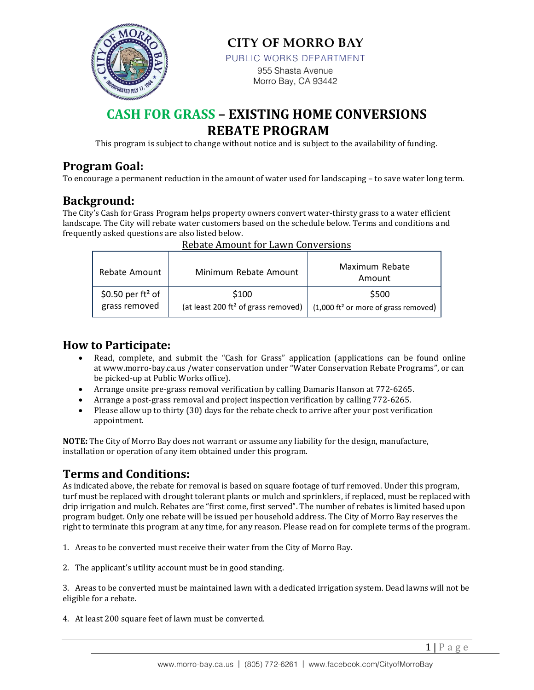

**CITY OF MORRO BAY** 

PUBLIC WORKS DEPARTMENT

955 Shasta Avenue Morro Bay, CA 93442

# **CASH FOR GRASS – EXISTING HOME CONVERSIONS REBATE PROGRAM**

This program is subject to change without notice and is subject to the availability of funding.

## **Program Goal:**

To encourage a permanent reduction in the amount of water used for landscaping – to save water long term.

### **Background:**

The City's Cash for Grass Program helps property owners convert water-thirsty grass to a water efficient landscape. The City will rebate water customers based on the schedule below. Terms and conditions and frequently asked questions are also listed below.

| Rebate Amount        | Minimum Rebate Amount                           | Maximum Rebate<br>Amount                                |
|----------------------|-------------------------------------------------|---------------------------------------------------------|
| \$0.50 per $ft^2$ of | \$100                                           | \$500                                                   |
| grass removed        | (at least 200 ft <sup>2</sup> of grass removed) | $(1,000 \text{ ft}^2 \text{ or more of grass removed})$ |

#### Rebate Amount for Lawn Conversions

### **How to Participate:**

- Read, complete, and submit the "Cash for Grass" application (applications can be found online at www.morro-bay.ca.us /water conservation under "Water Conservation Rebate Programs", or can be picked-up at Public Works office).
- Arrange onsite pre-grass removal verification by calling Damaris Hanson at 772-6265.
- Arrange a post-grass removal and project inspection verification by calling 772-6265.
- Please allow up to thirty (30) days for the rebate check to arrive after your post verification appointment.

**NOTE:** The City of Morro Bay does not warrant or assume any liability for the design, manufacture, installation or operation of any item obtained under this program.

### **Terms and Conditions:**

As indicated above, the rebate for removal is based on square footage of turf removed. Under this program, turf must be replaced with drought tolerant plants or mulch and sprinklers, if replaced, must be replaced with drip irrigation and mulch. Rebates are "first come, first served". The number of rebates is limited based upon program budget. Only one rebate will be issued per household address. The City of Morro Bay reserves the right to terminate this program at any time, for any reason. Please read on for complete terms of the program.

- 1. Areas to be converted must receive their water from the City of Morro Bay.
- 2. The applicant's utility account must be in good standing.

3. Areas to be converted must be maintained lawn with a dedicated irrigation system. Dead lawns will not be eligible for a rebate.

4. At least 200 square feet of lawn must be converted.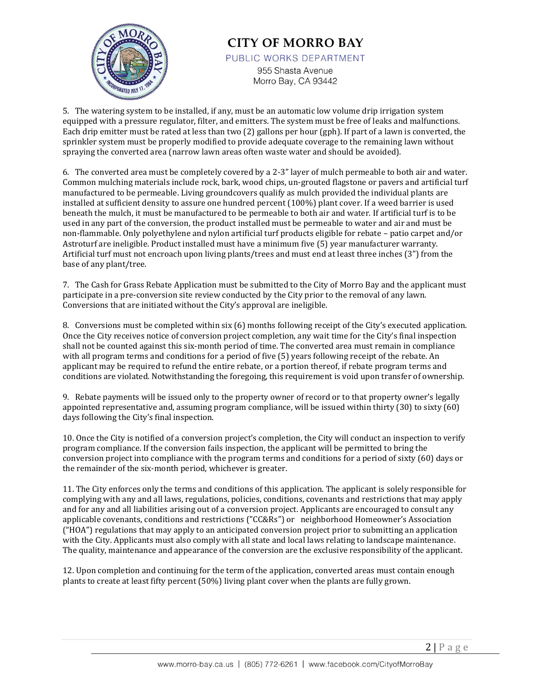

# **CITY OF MORRO BAY**

PUBLIC WORKS DEPARTMENT

955 Shasta Avenue Morro Bay, CA 93442

5. The watering system to be installed, if any, must be an automatic low volume drip irrigation system equipped with a pressure regulator, filter, and emitters. The system must be free of leaks and malfunctions. Each drip emitter must be rated at less than two (2) gallons per hour (gph). If part of a lawn is converted, the sprinkler system must be properly modified to provide adequate coverage to the remaining lawn without spraying the converted area (narrow lawn areas often waste water and should be avoided).

6. The converted area must be completely covered by a 2-3" layer of mulch permeable to both air and water. Common mulching materials include rock, bark, wood chips, un-grouted flagstone or pavers and artificial turf manufactured to be permeable. Living groundcovers qualify as mulch provided the individual plants are installed at sufficient density to assure one hundred percent (100%) plant cover. If a weed barrier is used beneath the mulch, it must be manufactured to be permeable to both air and water. If artificial turf is to be used in any part of the conversion, the product installed must be permeable to water and air and must be non-flammable. Only polyethylene and nylon artificial turf products eligible for rebate – patio carpet and/or Astroturf are ineligible. Product installed must have a minimum five (5) year manufacturer warranty. Artificial turf must not encroach upon living plants/trees and must end at least three inches (3") from the base of any plant/tree.

7. The Cash for Grass Rebate Application must be submitted to the City of Morro Bay and the applicant must participate in a pre-conversion site review conducted by the City prior to the removal of any lawn. Conversions that are initiated without the City's approval are ineligible.

8. Conversions must be completed within six (6) months following receipt of the City's executed application. Once the City receives notice of conversion project completion, any wait time for the City's final inspection shall not be counted against this six-month period of time. The converted area must remain in compliance with all program terms and conditions for a period of five (5) years following receipt of the rebate. An applicant may be required to refund the entire rebate, or a portion thereof, if rebate program terms and conditions are violated. Notwithstanding the foregoing, this requirement is void upon transfer of ownership.

9. Rebate payments will be issued only to the property owner of record or to that property owner's legally appointed representative and, assuming program compliance, will be issued within thirty (30) to sixty (60) days following the City's final inspection.

10. Once the City is notified of a conversion project's completion, the City will conduct an inspection to verify program compliance. If the conversion fails inspection, the applicant will be permitted to bring the conversion project into compliance with the program terms and conditions for a period of sixty (60) days or the remainder of the six-month period, whichever is greater.

11. The City enforces only the terms and conditions of this application. The applicant is solely responsible for complying with any and all laws, regulations, policies, conditions, covenants and restrictions that may apply and for any and all liabilities arising out of a conversion project. Applicants are encouraged to consult any applicable covenants, conditions and restrictions ("CC&Rs") or neighborhood Homeowner's Association ("HOA") regulations that may apply to an anticipated conversion project prior to submitting an application with the City. Applicants must also comply with all state and local laws relating to landscape maintenance. The quality, maintenance and appearance of the conversion are the exclusive responsibility of the applicant.

12. Upon completion and continuing for the term of the application, converted areas must contain enough plants to create at least fifty percent (50%) living plant cover when the plants are fully grown.

 $2|P \text{ age}|$